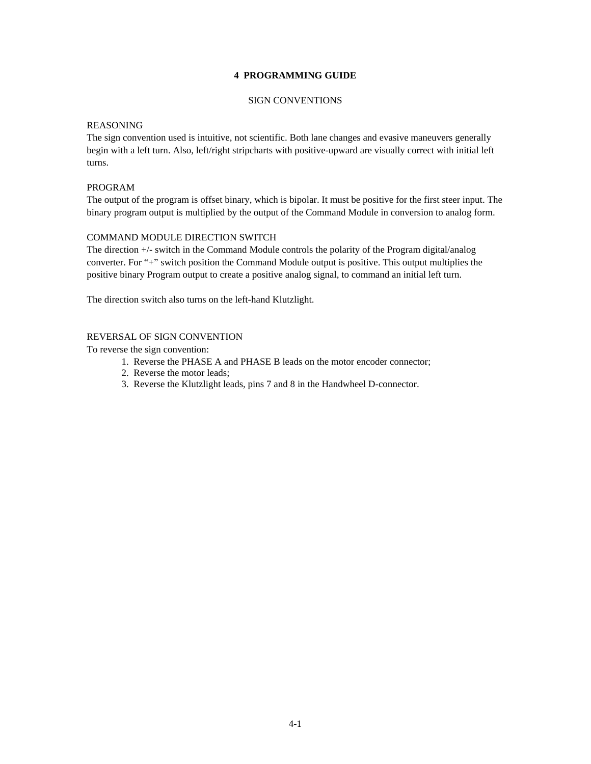## **4 PROGRAMMING GUIDE**

## SIGN CONVENTIONS

### REASONING

The sign convention used is intuitive, not scientific. Both lane changes and evasive maneuvers generally begin with a left turn. Also, left/right stripcharts with positive-upward are visually correct with initial left turns.

## PROGRAM

The output of the program is offset binary, which is bipolar. It must be positive for the first steer input. The binary program output is multiplied by the output of the Command Module in conversion to analog form.

## COMMAND MODULE DIRECTION SWITCH

The direction +/- switch in the Command Module controls the polarity of the Program digital/analog converter. For "+" switch position the Command Module output is positive. This output multiplies the positive binary Program output to create a positive analog signal, to command an initial left turn.

The direction switch also turns on the left-hand Klutzlight.

## REVERSAL OF SIGN CONVENTION

To reverse the sign convention:

- 1. Reverse the PHASE A and PHASE B leads on the motor encoder connector;
- 2. Reverse the motor leads;
- 3. Reverse the Klutzlight leads, pins 7 and 8 in the Handwheel D-connector.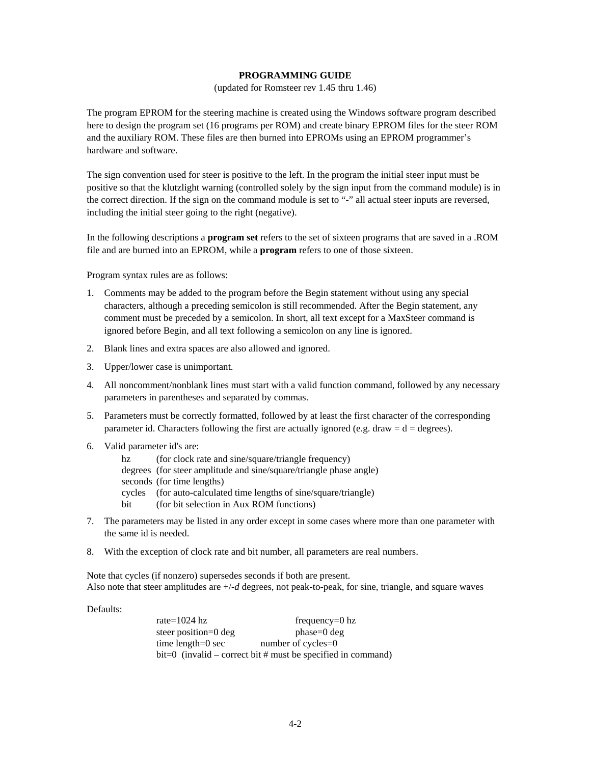## **PROGRAMMING GUIDE**

(updated for Romsteer rev 1.45 thru 1.46)

The program EPROM for the steering machine is created using the Windows software program described here to design the program set (16 programs per ROM) and create binary EPROM files for the steer ROM and the auxiliary ROM. These files are then burned into EPROMs using an EPROM programmer's hardware and software.

The sign convention used for steer is positive to the left. In the program the initial steer input must be positive so that the klutzlight warning (controlled solely by the sign input from the command module) is in the correct direction. If the sign on the command module is set to "-" all actual steer inputs are reversed, including the initial steer going to the right (negative).

In the following descriptions a **program set** refers to the set of sixteen programs that are saved in a .ROM file and are burned into an EPROM, while a **program** refers to one of those sixteen.

Program syntax rules are as follows:

- 1. Comments may be added to the program before the Begin statement without using any special characters, although a preceding semicolon is still recommended. After the Begin statement, any comment must be preceded by a semicolon. In short, all text except for a MaxSteer command is ignored before Begin, and all text following a semicolon on any line is ignored.
- 2. Blank lines and extra spaces are also allowed and ignored.
- 3. Upper/lower case is unimportant.
- 4. All noncomment/nonblank lines must start with a valid function command, followed by any necessary parameters in parentheses and separated by commas.
- 5. Parameters must be correctly formatted, followed by at least the first character of the corresponding parameter id. Characters following the first are actually ignored (e.g. draw  $= d =$  degrees).
- 6. Valid parameter id's are:
	- hz (for clock rate and sine/square/triangle frequency)
	- degrees (for steer amplitude and sine/square/triangle phase angle)
	- seconds (for time lengths)
	- cycles (for auto-calculated time lengths of sine/square/triangle)
	- bit (for bit selection in Aux ROM functions)
- 7. The parameters may be listed in any order except in some cases where more than one parameter with the same id is needed.
- 8. With the exception of clock rate and bit number, all parameters are real numbers.

Note that cycles (if nonzero) supersedes seconds if both are present. Also note that steer amplitudes are +/-*d* degrees, not peak-to-peak, for sine, triangle, and square waves

Defaults:

 $rate = 1024$  hz frequency=0 hz steer position=0 deg phase=0 deg time length=0 sec number of cycles=0 bit=0 (invalid – correct bit # must be specified in command)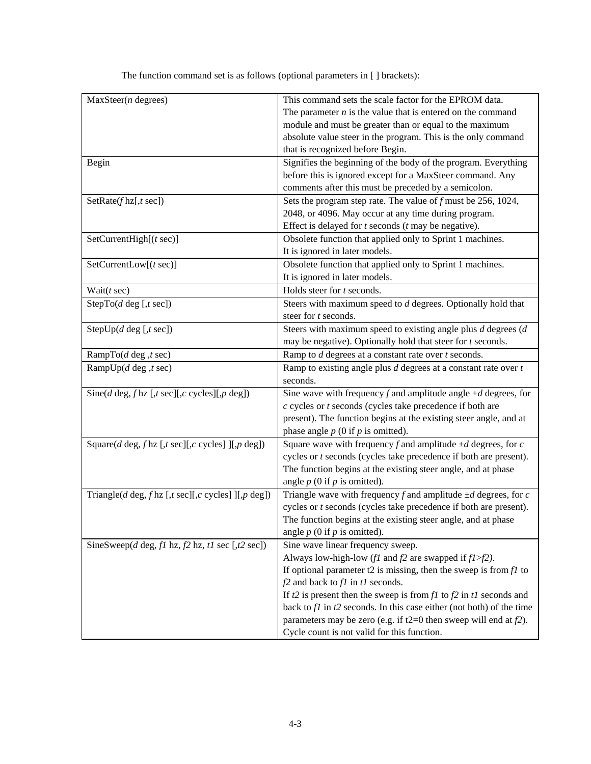| $MaxSteer(n$ degrees)                                                                                                                                                                                                                                            | This command sets the scale factor for the EPROM data.                                                                                                                                                                                                                                                                                                                                                                                                                                                                                                                                                                                                                                                                                                                                                                                                                                                                                                                                                                                                                                                                                                                                                                                                             |
|------------------------------------------------------------------------------------------------------------------------------------------------------------------------------------------------------------------------------------------------------------------|--------------------------------------------------------------------------------------------------------------------------------------------------------------------------------------------------------------------------------------------------------------------------------------------------------------------------------------------------------------------------------------------------------------------------------------------------------------------------------------------------------------------------------------------------------------------------------------------------------------------------------------------------------------------------------------------------------------------------------------------------------------------------------------------------------------------------------------------------------------------------------------------------------------------------------------------------------------------------------------------------------------------------------------------------------------------------------------------------------------------------------------------------------------------------------------------------------------------------------------------------------------------|
|                                                                                                                                                                                                                                                                  | The parameter $n$ is the value that is entered on the command                                                                                                                                                                                                                                                                                                                                                                                                                                                                                                                                                                                                                                                                                                                                                                                                                                                                                                                                                                                                                                                                                                                                                                                                      |
|                                                                                                                                                                                                                                                                  | module and must be greater than or equal to the maximum                                                                                                                                                                                                                                                                                                                                                                                                                                                                                                                                                                                                                                                                                                                                                                                                                                                                                                                                                                                                                                                                                                                                                                                                            |
|                                                                                                                                                                                                                                                                  | absolute value steer in the program. This is the only command                                                                                                                                                                                                                                                                                                                                                                                                                                                                                                                                                                                                                                                                                                                                                                                                                                                                                                                                                                                                                                                                                                                                                                                                      |
|                                                                                                                                                                                                                                                                  | that is recognized before Begin.                                                                                                                                                                                                                                                                                                                                                                                                                                                                                                                                                                                                                                                                                                                                                                                                                                                                                                                                                                                                                                                                                                                                                                                                                                   |
| Begin                                                                                                                                                                                                                                                            | Signifies the beginning of the body of the program. Everything                                                                                                                                                                                                                                                                                                                                                                                                                                                                                                                                                                                                                                                                                                                                                                                                                                                                                                                                                                                                                                                                                                                                                                                                     |
|                                                                                                                                                                                                                                                                  | before this is ignored except for a MaxSteer command. Any                                                                                                                                                                                                                                                                                                                                                                                                                                                                                                                                                                                                                                                                                                                                                                                                                                                                                                                                                                                                                                                                                                                                                                                                          |
|                                                                                                                                                                                                                                                                  | comments after this must be preceded by a semicolon.                                                                                                                                                                                                                                                                                                                                                                                                                                                                                                                                                                                                                                                                                                                                                                                                                                                                                                                                                                                                                                                                                                                                                                                                               |
| SetRate(f hz[,t sec])                                                                                                                                                                                                                                            | Sets the program step rate. The value of $f$ must be 256, 1024,                                                                                                                                                                                                                                                                                                                                                                                                                                                                                                                                                                                                                                                                                                                                                                                                                                                                                                                                                                                                                                                                                                                                                                                                    |
|                                                                                                                                                                                                                                                                  | 2048, or 4096. May occur at any time during program.                                                                                                                                                                                                                                                                                                                                                                                                                                                                                                                                                                                                                                                                                                                                                                                                                                                                                                                                                                                                                                                                                                                                                                                                               |
|                                                                                                                                                                                                                                                                  | Effect is delayed for $t$ seconds $(t$ may be negative).                                                                                                                                                                                                                                                                                                                                                                                                                                                                                                                                                                                                                                                                                                                                                                                                                                                                                                                                                                                                                                                                                                                                                                                                           |
| SetCurrentHigh $[(t \sec)]$                                                                                                                                                                                                                                      | Obsolete function that applied only to Sprint 1 machines.                                                                                                                                                                                                                                                                                                                                                                                                                                                                                                                                                                                                                                                                                                                                                                                                                                                                                                                                                                                                                                                                                                                                                                                                          |
|                                                                                                                                                                                                                                                                  | It is ignored in later models.                                                                                                                                                                                                                                                                                                                                                                                                                                                                                                                                                                                                                                                                                                                                                                                                                                                                                                                                                                                                                                                                                                                                                                                                                                     |
| SetCurrentLow[(t sec)]                                                                                                                                                                                                                                           | Obsolete function that applied only to Sprint 1 machines.                                                                                                                                                                                                                                                                                                                                                                                                                                                                                                                                                                                                                                                                                                                                                                                                                                                                                                                                                                                                                                                                                                                                                                                                          |
|                                                                                                                                                                                                                                                                  | It is ignored in later models.                                                                                                                                                                                                                                                                                                                                                                                                                                                                                                                                                                                                                                                                                                                                                                                                                                                                                                                                                                                                                                                                                                                                                                                                                                     |
| Wait $(t \text{ sec})$                                                                                                                                                                                                                                           | Holds steer for t seconds.                                                                                                                                                                                                                                                                                                                                                                                                                                                                                                                                                                                                                                                                                                                                                                                                                                                                                                                                                                                                                                                                                                                                                                                                                                         |
| StepTo( $d$ deg [, $t$ sec])                                                                                                                                                                                                                                     | Steers with maximum speed to d degrees. Optionally hold that                                                                                                                                                                                                                                                                                                                                                                                                                                                                                                                                                                                                                                                                                                                                                                                                                                                                                                                                                                                                                                                                                                                                                                                                       |
|                                                                                                                                                                                                                                                                  | steer for t seconds.                                                                                                                                                                                                                                                                                                                                                                                                                                                                                                                                                                                                                                                                                                                                                                                                                                                                                                                                                                                                                                                                                                                                                                                                                                               |
| StepUp( $d$ deg [, $t$ sec])                                                                                                                                                                                                                                     | Steers with maximum speed to existing angle plus $d$ degrees $(d)$                                                                                                                                                                                                                                                                                                                                                                                                                                                                                                                                                                                                                                                                                                                                                                                                                                                                                                                                                                                                                                                                                                                                                                                                 |
|                                                                                                                                                                                                                                                                  | may be negative). Optionally hold that steer for $t$ seconds.                                                                                                                                                                                                                                                                                                                                                                                                                                                                                                                                                                                                                                                                                                                                                                                                                                                                                                                                                                                                                                                                                                                                                                                                      |
| RampTo(d deg ,t sec)                                                                                                                                                                                                                                             | Ramp to $d$ degrees at a constant rate over $t$ seconds.                                                                                                                                                                                                                                                                                                                                                                                                                                                                                                                                                                                                                                                                                                                                                                                                                                                                                                                                                                                                                                                                                                                                                                                                           |
| RampUp( $d$ deg ,t sec)                                                                                                                                                                                                                                          | Ramp to existing angle plus $d$ degrees at a constant rate over $t$                                                                                                                                                                                                                                                                                                                                                                                                                                                                                                                                                                                                                                                                                                                                                                                                                                                                                                                                                                                                                                                                                                                                                                                                |
|                                                                                                                                                                                                                                                                  | seconds.                                                                                                                                                                                                                                                                                                                                                                                                                                                                                                                                                                                                                                                                                                                                                                                                                                                                                                                                                                                                                                                                                                                                                                                                                                                           |
|                                                                                                                                                                                                                                                                  |                                                                                                                                                                                                                                                                                                                                                                                                                                                                                                                                                                                                                                                                                                                                                                                                                                                                                                                                                                                                                                                                                                                                                                                                                                                                    |
|                                                                                                                                                                                                                                                                  |                                                                                                                                                                                                                                                                                                                                                                                                                                                                                                                                                                                                                                                                                                                                                                                                                                                                                                                                                                                                                                                                                                                                                                                                                                                                    |
|                                                                                                                                                                                                                                                                  |                                                                                                                                                                                                                                                                                                                                                                                                                                                                                                                                                                                                                                                                                                                                                                                                                                                                                                                                                                                                                                                                                                                                                                                                                                                                    |
|                                                                                                                                                                                                                                                                  |                                                                                                                                                                                                                                                                                                                                                                                                                                                                                                                                                                                                                                                                                                                                                                                                                                                                                                                                                                                                                                                                                                                                                                                                                                                                    |
|                                                                                                                                                                                                                                                                  |                                                                                                                                                                                                                                                                                                                                                                                                                                                                                                                                                                                                                                                                                                                                                                                                                                                                                                                                                                                                                                                                                                                                                                                                                                                                    |
|                                                                                                                                                                                                                                                                  |                                                                                                                                                                                                                                                                                                                                                                                                                                                                                                                                                                                                                                                                                                                                                                                                                                                                                                                                                                                                                                                                                                                                                                                                                                                                    |
|                                                                                                                                                                                                                                                                  |                                                                                                                                                                                                                                                                                                                                                                                                                                                                                                                                                                                                                                                                                                                                                                                                                                                                                                                                                                                                                                                                                                                                                                                                                                                                    |
|                                                                                                                                                                                                                                                                  |                                                                                                                                                                                                                                                                                                                                                                                                                                                                                                                                                                                                                                                                                                                                                                                                                                                                                                                                                                                                                                                                                                                                                                                                                                                                    |
|                                                                                                                                                                                                                                                                  |                                                                                                                                                                                                                                                                                                                                                                                                                                                                                                                                                                                                                                                                                                                                                                                                                                                                                                                                                                                                                                                                                                                                                                                                                                                                    |
|                                                                                                                                                                                                                                                                  |                                                                                                                                                                                                                                                                                                                                                                                                                                                                                                                                                                                                                                                                                                                                                                                                                                                                                                                                                                                                                                                                                                                                                                                                                                                                    |
|                                                                                                                                                                                                                                                                  |                                                                                                                                                                                                                                                                                                                                                                                                                                                                                                                                                                                                                                                                                                                                                                                                                                                                                                                                                                                                                                                                                                                                                                                                                                                                    |
|                                                                                                                                                                                                                                                                  |                                                                                                                                                                                                                                                                                                                                                                                                                                                                                                                                                                                                                                                                                                                                                                                                                                                                                                                                                                                                                                                                                                                                                                                                                                                                    |
|                                                                                                                                                                                                                                                                  |                                                                                                                                                                                                                                                                                                                                                                                                                                                                                                                                                                                                                                                                                                                                                                                                                                                                                                                                                                                                                                                                                                                                                                                                                                                                    |
|                                                                                                                                                                                                                                                                  |                                                                                                                                                                                                                                                                                                                                                                                                                                                                                                                                                                                                                                                                                                                                                                                                                                                                                                                                                                                                                                                                                                                                                                                                                                                                    |
|                                                                                                                                                                                                                                                                  |                                                                                                                                                                                                                                                                                                                                                                                                                                                                                                                                                                                                                                                                                                                                                                                                                                                                                                                                                                                                                                                                                                                                                                                                                                                                    |
|                                                                                                                                                                                                                                                                  |                                                                                                                                                                                                                                                                                                                                                                                                                                                                                                                                                                                                                                                                                                                                                                                                                                                                                                                                                                                                                                                                                                                                                                                                                                                                    |
|                                                                                                                                                                                                                                                                  |                                                                                                                                                                                                                                                                                                                                                                                                                                                                                                                                                                                                                                                                                                                                                                                                                                                                                                                                                                                                                                                                                                                                                                                                                                                                    |
|                                                                                                                                                                                                                                                                  |                                                                                                                                                                                                                                                                                                                                                                                                                                                                                                                                                                                                                                                                                                                                                                                                                                                                                                                                                                                                                                                                                                                                                                                                                                                                    |
|                                                                                                                                                                                                                                                                  |                                                                                                                                                                                                                                                                                                                                                                                                                                                                                                                                                                                                                                                                                                                                                                                                                                                                                                                                                                                                                                                                                                                                                                                                                                                                    |
|                                                                                                                                                                                                                                                                  |                                                                                                                                                                                                                                                                                                                                                                                                                                                                                                                                                                                                                                                                                                                                                                                                                                                                                                                                                                                                                                                                                                                                                                                                                                                                    |
| Sine( $d$ deg, $f$ hz [, $t$ sec][, $c$ cycles][, $p$ deg])<br>Square( $d$ deg, $fhz$ [, $t$ sec][, $c$ cycles]][, $p$ deg])<br>Triangle( $d$ deg, $f$ hz [, $t$ sec][, $c$ cycles]][, $p$ deg])<br>SineSweep( $d$ deg, $f1$ hz, $f2$ hz, $t1$ sec [, $t2$ sec]) | Sine wave with frequency f and amplitude angle $\pm d$ degrees, for<br>$c$ cycles or $t$ seconds (cycles take precedence if both are<br>present). The function begins at the existing steer angle, and at<br>phase angle $p$ (0 if $p$ is omitted).<br>Square wave with frequency f and amplitude $\pm d$ degrees, for c<br>cycles or t seconds (cycles take precedence if both are present).<br>The function begins at the existing steer angle, and at phase<br>angle $p$ (0 if $p$ is omitted).<br>Triangle wave with frequency f and amplitude $\pm d$ degrees, for c<br>cycles or <i>t</i> seconds (cycles take precedence if both are present).<br>The function begins at the existing steer angle, and at phase<br>angle $p(0)$ if $p$ is omitted).<br>Sine wave linear frequency sweep.<br>Always low-high-low (f1 and $f2$ are swapped if $f1 > f2$ ).<br>If optional parameter t2 is missing, then the sweep is from $f1$ to<br>$f2$ and back to $f1$ in $t1$ seconds.<br>If $t2$ is present then the sweep is from $f1$ to $f2$ in $t1$ seconds and<br>back to $f1$ in $t2$ seconds. In this case either (not both) of the time<br>parameters may be zero (e.g. if $t2=0$ then sweep will end at $f2$ ).<br>Cycle count is not valid for this function. |

The function command set is as follows (optional parameters in [ ] brackets):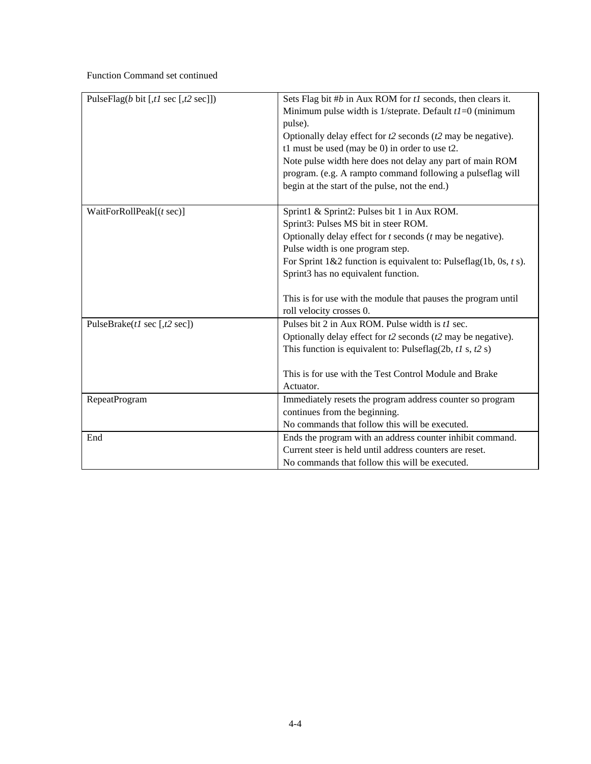# Function Command set continued

| PulseFlag(b bit [,t] sec [,t2 sec]]) | Sets Flag bit #b in Aux ROM for tl seconds, then clears it.         |  |
|--------------------------------------|---------------------------------------------------------------------|--|
|                                      | Minimum pulse width is 1/steprate. Default $tI=0$ (minimum          |  |
|                                      | pulse).                                                             |  |
|                                      | Optionally delay effect for $t2$ seconds ( $t2$ may be negative).   |  |
|                                      | t1 must be used (may be 0) in order to use t2.                      |  |
|                                      | Note pulse width here does not delay any part of main ROM           |  |
|                                      | program. (e.g. A rampto command following a pulseflag will          |  |
|                                      | begin at the start of the pulse, not the end.)                      |  |
|                                      |                                                                     |  |
| WaitForRollPeak $[(t \sec)]$         | Sprint1 & Sprint2: Pulses bit 1 in Aux ROM.                         |  |
|                                      | Sprint3: Pulses MS bit in steer ROM.                                |  |
|                                      | Optionally delay effect for $t$ seconds $(t$ may be negative).      |  |
|                                      | Pulse width is one program step.                                    |  |
|                                      | For Sprint $1&2$ function is equivalent to: Pulseflag(1b, 0s, t s). |  |
|                                      | Sprint3 has no equivalent function.                                 |  |
|                                      |                                                                     |  |
|                                      | This is for use with the module that pauses the program until       |  |
|                                      | roll velocity crosses 0.                                            |  |
| PulseBrake( $t1$ sec [, $t2$ sec])   | Pulses bit 2 in Aux ROM. Pulse width is t1 sec.                     |  |
|                                      | Optionally delay effect for $t2$ seconds ( $t2$ may be negative).   |  |
|                                      | This function is equivalent to: Pulseflag(2b, $t1$ s, $t2$ s)       |  |
|                                      |                                                                     |  |
|                                      | This is for use with the Test Control Module and Brake              |  |
|                                      | Actuator.                                                           |  |
| RepeatProgram                        | Immediately resets the program address counter so program           |  |
|                                      | continues from the beginning.                                       |  |
|                                      | No commands that follow this will be executed.                      |  |
| End                                  | Ends the program with an address counter inhibit command.           |  |
|                                      | Current steer is held until address counters are reset.             |  |
|                                      | No commands that follow this will be executed.                      |  |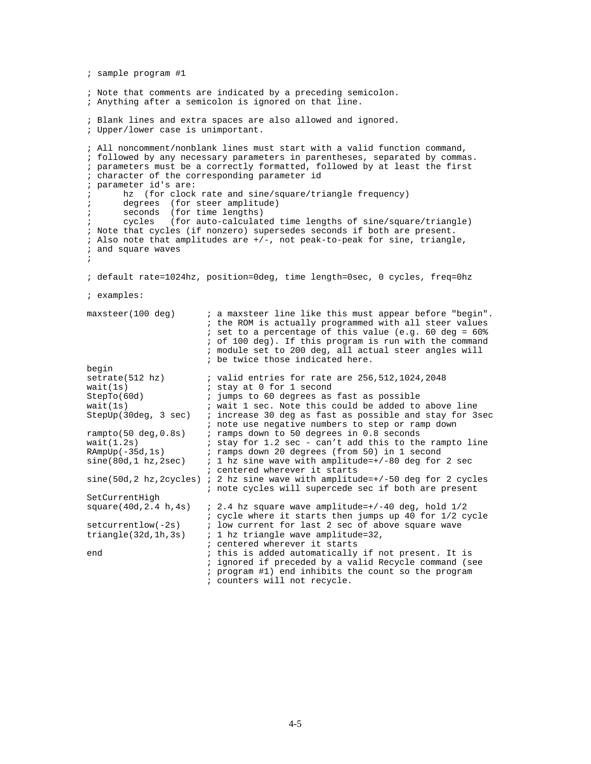```
; sample program #1 
; Note that comments are indicated by a preceding semicolon. 
; Anything after a semicolon is ignored on that line. 
; Blank lines and extra spaces are also allowed and ignored. 
; Upper/lower case is unimportant. 
; All noncomment/nonblank lines must start with a valid function command, 
; followed by any necessary parameters in parentheses, separated by commas. 
; parameters must be a correctly formatted, followed by at least the first 
; character of the corresponding parameter id 
; parameter id's are: 
         hz (for clock rate and sine/square/triangle frequency)
; degrees (for steer amplitude) 
; seconds (for time lengths) 
; cycles (for auto-calculated time lengths of sine/square/triangle) 
; Note that cycles (if nonzero) supersedes seconds if both are present. 
; Also note that amplitudes are +/-, not peak-to-peak for sine, triangle, 
; and square waves 
; 
; default rate=1024hz, position=0deg, time length=0sec, 0 cycles, freq=0hz 
; examples: 
maxsteer(100 deg) ; a maxsteer line like this must appear before "begin".
                                ; the ROM is actually programmed with all steer values 
                                ; set to a percentage of this value (e.g. 60 deg = 60% 
                                ; of 100 deg). If this program is run with the command 
                                ; module set to 200 deg, all actual steer angles will 
                                ; be twice those indicated here. 
begin<br>setrate(512 hz)
setrate(512 hz) \begin{array}{ccc} i \text{ valid entries} & \text{for rate are} & 256,512,1024,2048 \\ \text{wait}(1s) & \text{if } i \text{ stay at} & 0 \text{ for} & 1 \text{ second} \end{array}wait(1s) \begin{array}{ccc} i & \text{stay at 0 for 1 second} \\ \text{StepTo(60d)} & \text{i jumps to 60 degrees as} \end{array}StepTo(60d) \begin{array}{ccc} 3.5 & 3.5 & 3.5 \\ 3.5 & 3.5 & 3.5 \\ 4.5 & 5.5 & 3.5 \\ 5.5 & 5.5 & 3.5 \\ 6.5 & 6.5 & 3.5 \\ 7.5 & 8.5 & 3.5 \\ 8.5 & 9.5 & 3.5 \\ 9.5 & 9.5 & 3.5 \\ 1.5 & 1.5 & 1.5 \\ 1.5 & 1.5 & 1.5 \\ 1.5 & 1.5 & 1.5 \\ 1.5 & 1.5 & 1.5 \\ 1.5 & 1.5 & 1.5 \\ 1.5 & 1wait(1s) \therefore wait 1 sec. Note this could be added to above line StepUp(30deg, 3 sec) \therefore increase 30 deg as fast as possible and stay for 3
                              ; increase 30 deg as fast as possible and stay for 3sec
; note use negative numbers to step or ramp down<br>rampto(50 deg,0.8s) ; ramps down to 50 degrees in 0.8 seconds
                              ; ramps down to 50 degrees in 0.8 seconds
wait(1.2s) \qquad ; stay for 1.2 sec - can't add this to the rampto line RAmpUp(-35d,1s) \qquad ; ramps down 20 degrees (from 50) in 1 second
RAmpUp(-35d,1s) \therefore ramps down 20 degrees (from 50) in 1 second sine(80d,1 hz,2sec) \therefore 1 hz sine wave with amplitude=+/-80 deg for
                              i 1 hz sine wave with amplitude=+/-80 deg for 2 sec
                                ; centered wherever it starts 
sine(50d,2 hz, 2cycles) ; 2 hz sine wave with amplitude=+/-50 deg for 2 cycles
                                ; note cycles will supercede sec if both are present 
SetCurrentHigh<br>square(40d,2.4 h,4s)
                               i 2.4 hz square wave amplitude=+/-40 deg, hold 1/2; cycle where it starts then jumps up 40 for 1/2 cycle<br>setcurrentlow(-2s) ; low current for last 2 sec of above square wave
setcurrentlow(-2s) \therefore low current for last 2 sec of above square wave triangle(32d,1h,3s) \therefore 1 hz triangle wave amplitude=32,
                               i 1 hz triangle wave amplitude=32,
i centered wherever it starts<br>
ithis is added automatically<br>
ithis is added automatically
                               ; this is added automatically if not present. It is
                                ; ignored if preceded by a valid Recycle command (see 
                                ; program #1) end inhibits the count so the program 
                                ; counters will not recycle.
```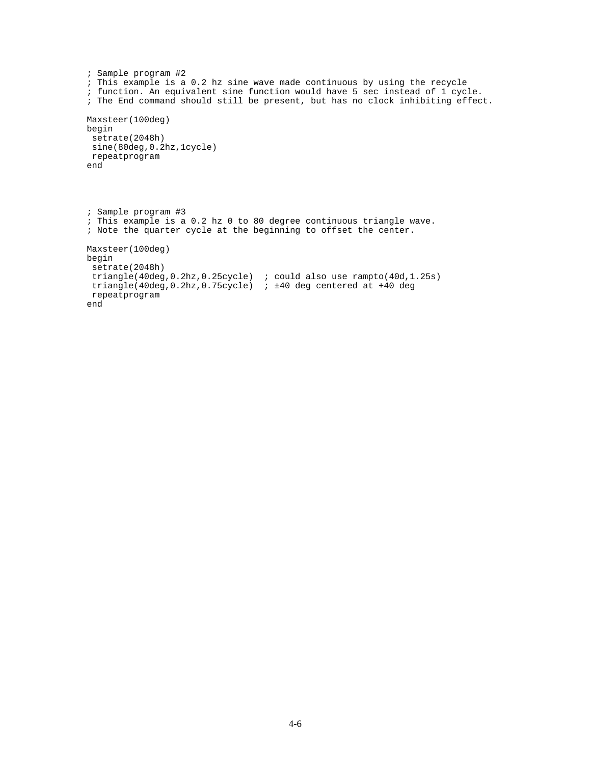```
; Sample program #2 
; This example is a 0.2 hz sine wave made continuous by using the recycle 
; function. An equivalent sine function would have 5 sec instead of 1 cycle. 
; The End command should still be present, but has no clock inhibiting effect. 
Maxsteer(100deg) 
begin 
  setrate(2048h) 
  sine(80deg,0.2hz,1cycle) 
 repeatprogram 
end 
; Sample program #3 
; This example is a 0.2 hz 0 to 80 degree continuous triangle wave. 
; Note the quarter cycle at the beginning to offset the center. 
Maxsteer(100deg) 
begin 
  setrate(2048h) 
  triangle(40deg,0.2hz,0.25cycle) ; could also use rampto(40d,1.25s) 
  triangle(40deg,0.2hz,0.75cycle) ; ±40 deg centered at +40 deg 
  repeatprogram 
end
```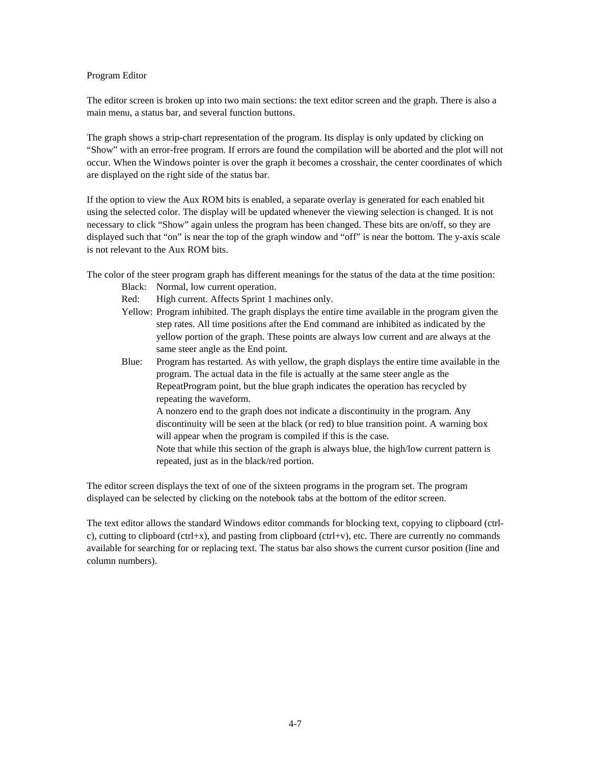#### Program Editor

The editor screen is broken up into two main sections: the text editor screen and the graph. There is also a main menu, a status bar, and several function buttons.

The graph shows a strip-chart representation of the program. Its display is only updated by clicking on "Show" with an error-free program. If errors are found the compilation will be aborted and the plot will not occur. When the Windows pointer is over the graph it becomes a crosshair, the center coordinates of which are displayed on the right side of the status bar.

If the option to view the Aux ROM bits is enabled, a separate overlay is generated for each enabled bit using the selected color. The display will be updated whenever the viewing selection is changed. It is not necessary to click "Show" again unless the program has been changed. These bits are on/off, so they are displayed such that "on" is near the top of the graph window and "off" is near the bottom. The y-axis scale is not relevant to the Aux ROM bits.

The color of the steer program graph has different meanings for the status of the data at the time position:

- Black: Normal, low current operation.
- Red: High current. Affects Sprint 1 machines only.
- Yellow: Program inhibited. The graph displays the entire time available in the program given the step rates. All time positions after the End command are inhibited as indicated by the yellow portion of the graph. These points are always low current and are always at the same steer angle as the End point.
- Blue: Program has restarted. As with yellow, the graph displays the entire time available in the program. The actual data in the file is actually at the same steer angle as the RepeatProgram point, but the blue graph indicates the operation has recycled by repeating the waveform.

A nonzero end to the graph does not indicate a discontinuity in the program. Any discontinuity will be seen at the black (or red) to blue transition point. A warning box will appear when the program is compiled if this is the case.

Note that while this section of the graph is always blue, the high/low current pattern is repeated, just as in the black/red portion.

The editor screen displays the text of one of the sixteen programs in the program set. The program displayed can be selected by clicking on the notebook tabs at the bottom of the editor screen.

The text editor allows the standard Windows editor commands for blocking text, copying to clipboard (ctrlc), cutting to clipboard (ctrl+x), and pasting from clipboard (ctrl+v), etc. There are currently no commands available for searching for or replacing text. The status bar also shows the current cursor position (line and column numbers).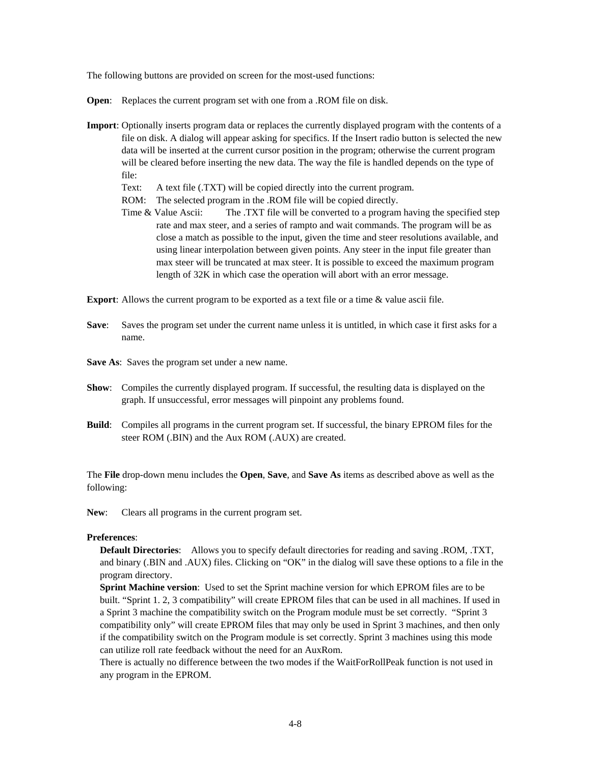The following buttons are provided on screen for the most-used functions:

**Open:** Replaces the current program set with one from a .ROM file on disk.

- **Import**: Optionally inserts program data or replaces the currently displayed program with the contents of a file on disk. A dialog will appear asking for specifics. If the Insert radio button is selected the new data will be inserted at the current cursor position in the program; otherwise the current program will be cleared before inserting the new data. The way the file is handled depends on the type of file:
	- Text: A text file (.TXT) will be copied directly into the current program.
	- ROM: The selected program in the .ROM file will be copied directly.
	- Time & Value Ascii: The .TXT file will be converted to a program having the specified step rate and max steer, and a series of rampto and wait commands. The program will be as close a match as possible to the input, given the time and steer resolutions available, and using linear interpolation between given points. Any steer in the input file greater than max steer will be truncated at max steer. It is possible to exceed the maximum program length of 32K in which case the operation will abort with an error message.

**Export:** Allows the current program to be exported as a text file or a time & value ascii file.

- **Save:** Saves the program set under the current name unless it is untitled, in which case it first asks for a name.
- **Save As**: Saves the program set under a new name.
- **Show**: Compiles the currently displayed program. If successful, the resulting data is displayed on the graph. If unsuccessful, error messages will pinpoint any problems found.
- **Build**: Compiles all programs in the current program set. If successful, the binary EPROM files for the steer ROM (.BIN) and the Aux ROM (.AUX) are created.

The **File** drop-down menu includes the **Open**, **Save**, and **Save As** items as described above as well as the following:

**New**: Clears all programs in the current program set.

#### **Preferences**:

 **Default Directories**: Allows you to specify default directories for reading and saving .ROM, .TXT, and binary (.BIN and .AUX) files. Clicking on "OK" in the dialog will save these options to a file in the program directory.

 **Sprint Machine version**: Used to set the Sprint machine version for which EPROM files are to be built. "Sprint 1. 2, 3 compatibility" will create EPROM files that can be used in all machines. If used in a Sprint 3 machine the compatibility switch on the Program module must be set correctly. "Sprint 3 compatibility only" will create EPROM files that may only be used in Sprint 3 machines, and then only if the compatibility switch on the Program module is set correctly. Sprint 3 machines using this mode can utilize roll rate feedback without the need for an AuxRom.

There is actually no difference between the two modes if the WaitForRollPeak function is not used in any program in the EPROM.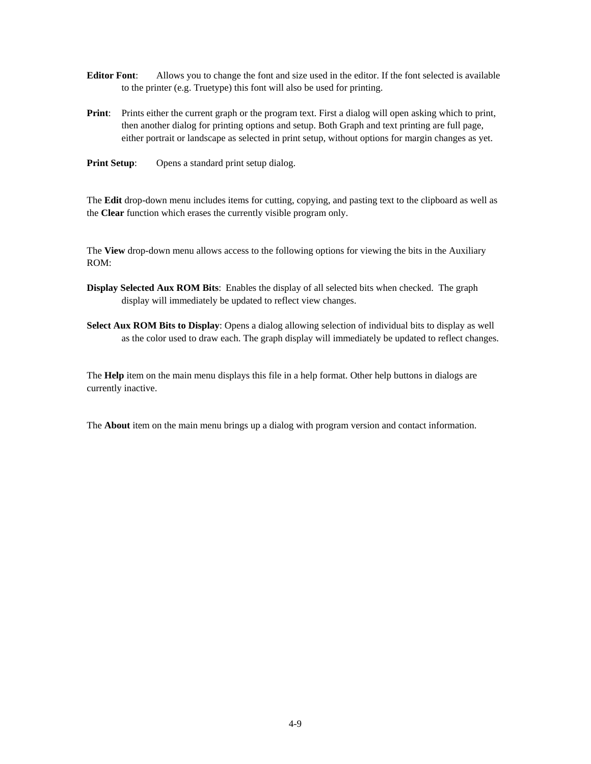- **Editor Font**: Allows you to change the font and size used in the editor. If the font selected is available to the printer (e.g. Truetype) this font will also be used for printing.
- **Print:** Prints either the current graph or the program text. First a dialog will open asking which to print, then another dialog for printing options and setup. Both Graph and text printing are full page, either portrait or landscape as selected in print setup, without options for margin changes as yet.
- **Print Setup:** Opens a standard print setup dialog.

The **Edit** drop-down menu includes items for cutting, copying, and pasting text to the clipboard as well as the **Clear** function which erases the currently visible program only.

The **View** drop-down menu allows access to the following options for viewing the bits in the Auxiliary ROM:

- **Display Selected Aux ROM Bits**: Enables the display of all selected bits when checked. The graph display will immediately be updated to reflect view changes.
- **Select Aux ROM Bits to Display**: Opens a dialog allowing selection of individual bits to display as well as the color used to draw each. The graph display will immediately be updated to reflect changes.

The **Help** item on the main menu displays this file in a help format. Other help buttons in dialogs are currently inactive.

The **About** item on the main menu brings up a dialog with program version and contact information.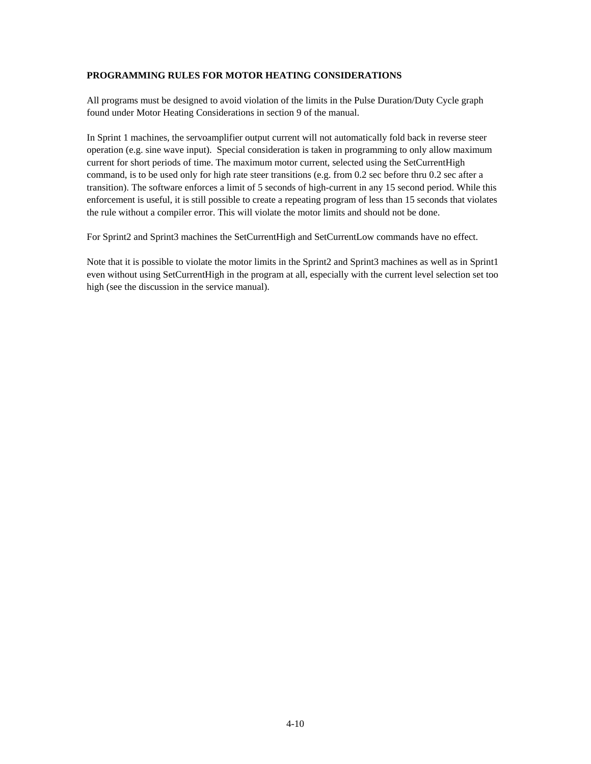### **PROGRAMMING RULES FOR MOTOR HEATING CONSIDERATIONS**

All programs must be designed to avoid violation of the limits in the Pulse Duration/Duty Cycle graph found under Motor Heating Considerations in section 9 of the manual.

In Sprint 1 machines, the servoamplifier output current will not automatically fold back in reverse steer operation (e.g. sine wave input). Special consideration is taken in programming to only allow maximum current for short periods of time. The maximum motor current, selected using the SetCurrentHigh command, is to be used only for high rate steer transitions (e.g. from 0.2 sec before thru 0.2 sec after a transition). The software enforces a limit of 5 seconds of high-current in any 15 second period. While this enforcement is useful, it is still possible to create a repeating program of less than 15 seconds that violates the rule without a compiler error. This will violate the motor limits and should not be done.

For Sprint2 and Sprint3 machines the SetCurrentHigh and SetCurrentLow commands have no effect.

Note that it is possible to violate the motor limits in the Sprint2 and Sprint3 machines as well as in Sprint1 even without using SetCurrentHigh in the program at all, especially with the current level selection set too high (see the discussion in the service manual).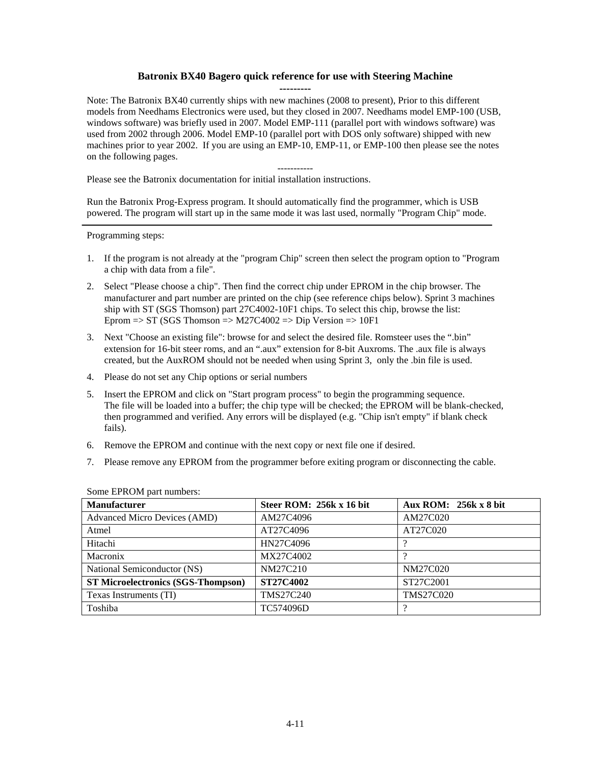## **Batronix BX40 Bagero quick reference for use with Steering Machine**

**---------** 

Note: The Batronix BX40 currently ships with new machines (2008 to present), Prior to this different models from Needhams Electronics were used, but they closed in 2007. Needhams model EMP-100 (USB, windows software) was briefly used in 2007. Model EMP-111 (parallel port with windows software) was used from 2002 through 2006. Model EMP-10 (parallel port with DOS only software) shipped with new machines prior to year 2002. If you are using an EMP-10, EMP-11, or EMP-100 then please see the notes on the following pages.

-----------

Please see the Batronix documentation for initial installation instructions.

Run the Batronix Prog-Express program. It should automatically find the programmer, which is USB powered. The program will start up in the same mode it was last used, normally "Program Chip" mode.

Programming steps:

- 1. If the program is not already at the "program Chip" screen then select the program option to "Program a chip with data from a file".
- 2. Select "Please choose a chip". Then find the correct chip under EPROM in the chip browser. The manufacturer and part number are printed on the chip (see reference chips below). Sprint 3 machines ship with ST (SGS Thomson) part 27C4002-10F1 chips. To select this chip, browse the list: Eprom  $\Rightarrow$  ST (SGS Thomson  $\Rightarrow$  M27C4002  $\Rightarrow$  Dip Version  $\Rightarrow$  10F1
- 3. Next "Choose an existing file": browse for and select the desired file. Romsteer uses the ".bin" extension for 16-bit steer roms, and an ".aux" extension for 8-bit Auxroms. The .aux file is always created, but the AuxROM should not be needed when using Sprint 3, only the .bin file is used.
- 4. Please do not set any Chip options or serial numbers
- 5. Insert the EPROM and click on "Start program process" to begin the programming sequence. The file will be loaded into a buffer; the chip type will be checked; the EPROM will be blank-checked, then programmed and verified. Any errors will be displayed (e.g. "Chip isn't empty" if blank check fails).
- 6. Remove the EPROM and continue with the next copy or next file one if desired.
- 7. Please remove any EPROM from the programmer before exiting program or disconnecting the cable.

| <b>Manufacturer</b>                       | Steer ROM: 256k x 16 bit | Aux ROM: 256k x 8 bit |
|-------------------------------------------|--------------------------|-----------------------|
| <b>Advanced Micro Devices (AMD)</b>       | AM27C4096                | AM27C020              |
| Atmel                                     | AT27C4096                | AT27C020              |
| Hitachi                                   | HN27C4096                |                       |
| Macronix                                  | MX27C4002                |                       |
| National Semiconductor (NS)               | NM27C210                 | NM27C020              |
| <b>ST Microelectronics (SGS-Thompson)</b> | <b>ST27C4002</b>         | ST27C2001             |
| Texas Instruments (TI)                    | <b>TMS27C240</b>         | <b>TMS27C020</b>      |
| Toshiba                                   | TC574096D                |                       |

Some EPROM part numbers: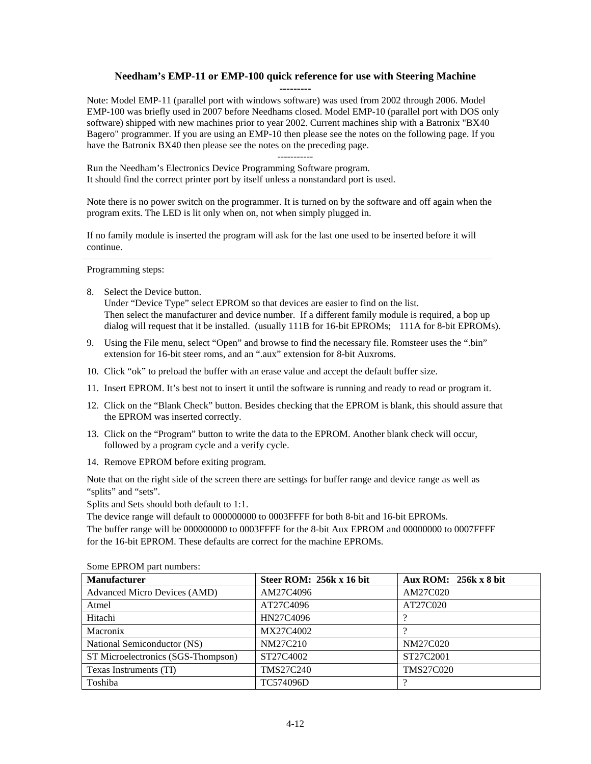## **Needham's EMP-11 or EMP-100 quick reference for use with Steering Machine**

**---------** 

Note: Model EMP-11 (parallel port with windows software) was used from 2002 through 2006. Model EMP-100 was briefly used in 2007 before Needhams closed. Model EMP-10 (parallel port with DOS only software) shipped with new machines prior to year 2002. Current machines ship with a Batronix "BX40 Bagero" programmer. If you are using an EMP-10 then please see the notes on the following page. If you have the Batronix BX40 then please see the notes on the preceding page.

-----------

Run the Needham's Electronics Device Programming Software program. It should find the correct printer port by itself unless a nonstandard port is used.

Note there is no power switch on the programmer. It is turned on by the software and off again when the program exits. The LED is lit only when on, not when simply plugged in.

If no family module is inserted the program will ask for the last one used to be inserted before it will continue.

Programming steps:

8. Select the Device button.

Under "Device Type" select EPROM so that devices are easier to find on the list. Then select the manufacturer and device number. If a different family module is required, a bop up dialog will request that it be installed. (usually 111B for 16-bit EPROMs; 111A for 8-bit EPROMs).

- 9. Using the File menu, select "Open" and browse to find the necessary file. Romsteer uses the ".bin" extension for 16-bit steer roms, and an ".aux" extension for 8-bit Auxroms.
- 10. Click "ok" to preload the buffer with an erase value and accept the default buffer size.
- 11. Insert EPROM. It's best not to insert it until the software is running and ready to read or program it.
- 12. Click on the "Blank Check" button. Besides checking that the EPROM is blank, this should assure that the EPROM was inserted correctly.
- 13. Click on the "Program" button to write the data to the EPROM. Another blank check will occur, followed by a program cycle and a verify cycle.
- 14. Remove EPROM before exiting program.

Note that on the right side of the screen there are settings for buffer range and device range as well as "splits" and "sets".

Splits and Sets should both default to 1:1.

The device range will default to 000000000 to 0003FFFF for both 8-bit and 16-bit EPROMs. The buffer range will be 000000000 to 0003FFFF for the 8-bit Aux EPROM and 00000000 to 0007FFFF for the 16-bit EPROM. These defaults are correct for the machine EPROMs.

| <b>Manufacturer</b>                 | Steer ROM: 256k x 16 bit | Aux ROM: $256k \times 8$ bit |
|-------------------------------------|--------------------------|------------------------------|
| <b>Advanced Micro Devices (AMD)</b> | AM27C4096                | AM27C020                     |
| Atmel                               | AT27C4096                | AT27C020                     |
| Hitachi                             | HN27C4096                |                              |
| Macronix                            | MX27C4002                |                              |
| National Semiconductor (NS)         | NM27C210                 | NM27C020                     |
| ST Microelectronics (SGS-Thompson)  | ST27C4002                | ST27C2001                    |
| Texas Instruments (TI)              | TMS27C240                | <b>TMS27C020</b>             |
| Toshiba                             | TC574096D                |                              |

Some EPROM part numbers: